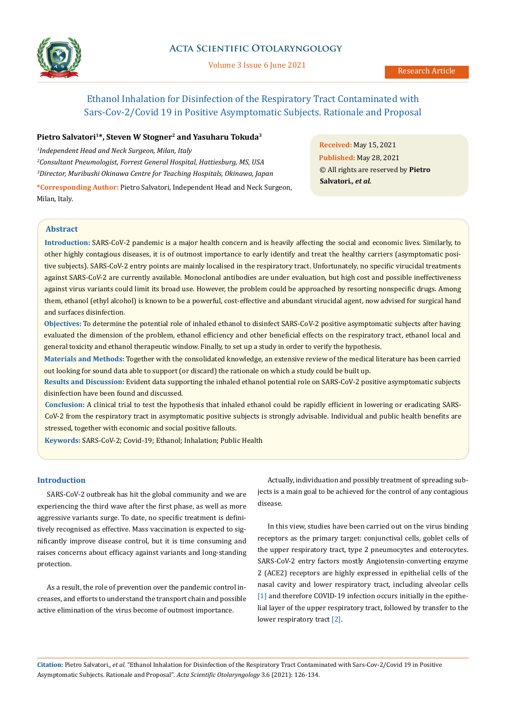

# **Acta Scientific Otolaryngology**

Volume 3 Issue 6 June 2021

# Ethanol Inhalation for Disinfection of the Respiratory Tract Contaminated with Sars-Cov-2/Covid 19 in Positive Asymptomatic Subjects. Rationale and Proposal

# Pietro Salvatori<sup>1\*</sup>, Steven W Stogner<sup>2</sup> and Yasuharu Tokuda<sup>3</sup>

*1 Independent Head and Neck Surgeon, Milan, Italy 2 Consultant Pneumologist, Forrest General Hospital, Hattiesburg, MS, USA 3 Director, Muribushi Okinawa Centre for Teaching Hospitals, Okinawa, Japan*

**\*Corresponding Author:** Pietro Salvatori, Independent Head and Neck Surgeon, Milan, Italy.

**Received:** May 15, 2021 **Published:** May 28, 2021 © All rights are reserved by **Pietro Salvatori***., et al.*

# **Abstract**

**Introduction:** SARS-CoV-2 pandemic is a major health concern and is heavily affecting the social and economic lives. Similarly, to other highly contagious diseases, it is of outmost importance to early identify and treat the healthy carriers (asymptomatic positive subjects). SARS-CoV-2 entry points are mainly localised in the respiratory tract. Unfortunately, no specific virucidal treatments against SARS-CoV-2 are currently available. Monoclonal antibodies are under evaluation, but high cost and possible ineffectiveness against virus variants could limit its broad use. However, the problem could be approached by resorting nonspecific drugs. Among them, ethanol (ethyl alcohol) is known to be a powerful, cost-effective and abundant virucidal agent, now advised for surgical hand and surfaces disinfection.

**Objectives:** To determine the potential role of inhaled ethanol to disinfect SARS-CoV-2 positive asymptomatic subjects after having evaluated the dimension of the problem, ethanol efficiency and other beneficial effects on the respiratory tract, ethanol local and general toxicity and ethanol therapeutic window. Finally, to set up a study in order to verify the hypothesis.

**Materials and Methods:** Together with the consolidated knowledge, an extensive review of the medical literature has been carried out looking for sound data able to support (or discard) the rationale on which a study could be built up.

**Results and Discussion:** Evident data supporting the inhaled ethanol potential role on SARS-CoV-2 positive asymptomatic subjects disinfection have been found and discussed.

**Conclusion:** A clinical trial to test the hypothesis that inhaled ethanol could be rapidly efficient in lowering or eradicating SARS-CoV-2 from the respiratory tract in asymptomatic positive subjects is strongly advisable. Individual and public health benefits are stressed, together with economic and social positive fallouts.

**Keywords:** SARS-CoV-2; Covid-19; Ethanol; Inhalation; Public Health

# **Introduction**

SARS-CoV-2 outbreak has hit the global community and we are experiencing the third wave after the first phase, as well as more aggressive variants surge. To date, no specific treatment is definitively recognised as effective. Mass vaccination is expected to significantly improve disease control, but it is time consuming and raises concerns about efficacy against variants and long-standing protection.

As a result, the role of prevention over the pandemic control increases, and efforts to understand the transport chain and possible active elimination of the virus become of outmost importance.

Actually, individuation and possibly treatment of spreading subjects is a main goal to be achieved for the control of any contagious disease.

In this view, studies have been carried out on the virus binding receptors as the primary target: conjunctival cells, goblet cells of the upper respiratory tract, type 2 pneumocytes and enterocytes. SARS-CoV-2 entry factors mostly Angiotensin-converting enzyme 2 (ACE2) receptors are highly expressed in epithelial cells of the nasal cavity and lower respiratory tract, including alveolar cells [1] and therefore COVID-19 infection occurs initially in the epithelial layer of the upper respiratory tract, followed by transfer to the lower respiratory tract [2].

**Citation:** Pietro Salvatori*., et al.* "Ethanol Inhalation for Disinfection of the Respiratory Tract Contaminated with Sars-Cov-2/Covid 19 in Positive Asymptomatic Subjects. Rationale and Proposal". *Acta Scientific Otolaryngology* 3.6 (2021): 126-134.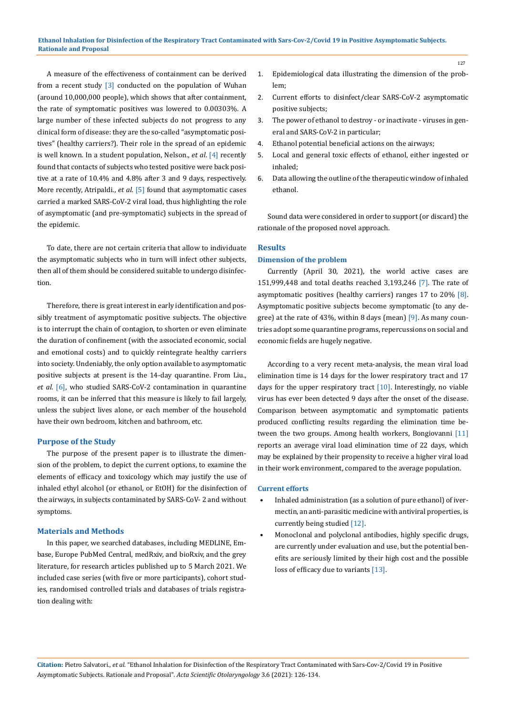#### **Ethanol Inhalation for Disinfection of the Respiratory Tract Contaminated with Sars-Cov-2/Covid 19 in Positive Asymptomatic Subjects. Rationale and Proposal**

A measure of the effectiveness of containment can be derived from a recent study [3] conducted on the population of Wuhan (around 10,000,000 people), which shows that after containment, the rate of symptomatic positives was lowered to 0.00303%. A large number of these infected subjects do not progress to any clinical form of disease: they are the so-called "asymptomatic positives" (healthy carriers?). Their role in the spread of an epidemic is well known. In a student population, Nelson., *et al*. [4] recently found that contacts of subjects who tested positive were back positive at a rate of 10.4% and 4.8% after 3 and 9 days, respectively. More recently, Atripaldi., *et al*. [5] found that asymptomatic cases carried a marked SARS-CoV-2 viral load, thus highlighting the role of asymptomatic (and pre-symptomatic) subjects in the spread of the epidemic.

To date, there are not certain criteria that allow to individuate the asymptomatic subjects who in turn will infect other subjects, then all of them should be considered suitable to undergo disinfection.

Therefore, there is great interest in early identification and possibly treatment of asymptomatic positive subjects. The objective is to interrupt the chain of contagion, to shorten or even eliminate the duration of confinement (with the associated economic, social and emotional costs) and to quickly reintegrate healthy carriers into society. Undeniably, the only option available to asymptomatic positive subjects at present is the 14-day quarantine. From Liu., *et al*. [6], who studied SARS-CoV-2 contamination in quarantine rooms, it can be inferred that this measure is likely to fail largely, unless the subject lives alone, or each member of the household have their own bedroom, kitchen and bathroom, etc.

### **Purpose of the Study**

The purpose of the present paper is to illustrate the dimension of the problem, to depict the current options, to examine the elements of efficacy and toxicology which may justify the use of inhaled ethyl alcohol (or ethanol, or EtOH) for the disinfection of the airways, in subjects contaminated by SARS-CoV- 2 and without symptoms.

#### **Materials and Methods**

In this paper, we searched databases, including MEDLINE, Embase, Europe PubMed Central, medRxiv, and bioRxiv, and the grey literature, for research articles published up to 5 March 2021. We included case series (with five or more participants), cohort studies, randomised controlled trials and databases of trials registration dealing with:

- 1. Epidemiological data illustrating the dimension of the problem;
- 2. Current efforts to disinfect/clear SARS-CoV-2 asymptomatic positive subjects;
- 3. The power of ethanol to destroy or inactivate viruses in general and SARS-CoV-2 in particular;
- 4. Ethanol potential beneficial actions on the airways;
- 5. Local and general toxic effects of ethanol, either ingested or inhaled;
- 6. Data allowing the outline of the therapeutic window of inhaled ethanol.

Sound data were considered in order to support (or discard) the rationale of the proposed novel approach.

### **Results**

# **Dimension of the problem**

Currently (April 30, 2021), the world active cases are 151,999,448 and total deaths reached 3,193,246 [7]. The rate of asymptomatic positives (healthy carriers) ranges 17 to 20% [8]. Asymptomatic positive subjects become symptomatic (to any degree) at the rate of 43%, within 8 days (mean) [9]. As many countries adopt some quarantine programs, repercussions on social and economic fields are hugely negative.

According to a very recent meta-analysis, the mean viral load elimination time is 14 days for the lower respiratory tract and 17 days for the upper respiratory tract  $[10]$ . Interestingly, no viable virus has ever been detected 9 days after the onset of the disease. Comparison between asymptomatic and symptomatic patients produced conflicting results regarding the elimination time between the two groups. Among health workers, Bongiovanni [11] reports an average viral load elimination time of 22 days, which may be explained by their propensity to receive a higher viral load in their work environment, compared to the average population.

#### **Current efforts**

- Inhaled administration (as a solution of pure ethanol) of ivermectin, an anti-parasitic medicine with antiviral properties, is currently being studied [12].
- Monoclonal and polyclonal antibodies, highly specific drugs, are currently under evaluation and use, but the potential benefits are seriously limited by their high cost and the possible loss of efficacy due to variants [13].

127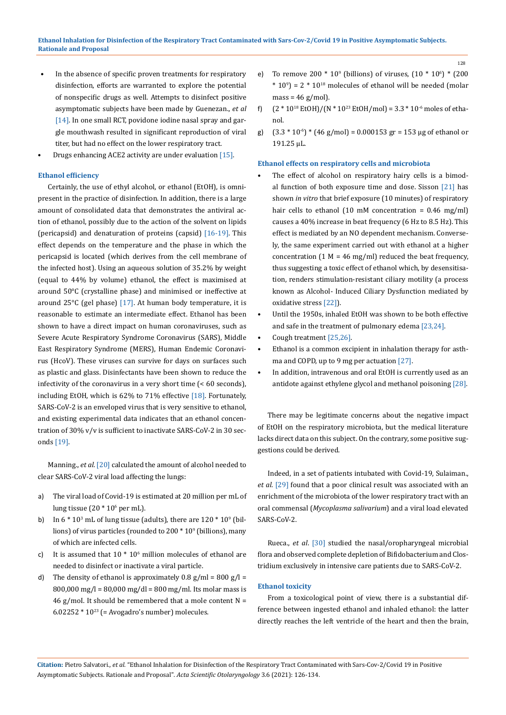- In the absence of specific proven treatments for respiratory disinfection, efforts are warranted to explore the potential of nonspecific drugs as well. Attempts to disinfect positive asymptomatic subjects have been made by Guenezan., *et al* [14]. In one small RCT, povidone iodine nasal spray and gargle mouthwash resulted in significant reproduction of viral titer, but had no effect on the lower respiratory tract.
- Drugs enhancing ACE2 activity are under evaluation [15].

#### **Ethanol efficiency**

Certainly, the use of ethyl alcohol, or ethanol (EtOH), is omnipresent in the practice of disinfection. In addition, there is a large amount of consolidated data that demonstrates the antiviral action of ethanol, possibly due to the action of the solvent on lipids (pericapsid) and denaturation of proteins (capsid) [16-19]. This effect depends on the temperature and the phase in which the pericapsid is located (which derives from the cell membrane of the infected host). Using an aqueous solution of 35.2% by weight (equal to 44% by volume) ethanol, the effect is maximised at around 50°C (crystalline phase) and minimised or ineffective at around 25°C (gel phase) [17]. At human body temperature, it is reasonable to estimate an intermediate effect. Ethanol has been shown to have a direct impact on human coronaviruses, such as Severe Acute Respiratory Syndrome Coronavirus (SARS), Middle East Respiratory Syndrome (MERS), Human Endemic Coronavirus (HcoV). These viruses can survive for days on surfaces such as plastic and glass. Disinfectants have been shown to reduce the infectivity of the coronavirus in a very short time (< 60 seconds), including EtOH, which is 62% to 71% effective [18]. Fortunately, SARS-CoV-2 is an enveloped virus that is very sensitive to ethanol, and existing experimental data indicates that an ethanol concentration of 30% v/v is sufficient to inactivate SARS-CoV-2 in 30 seconds [19].

Manning., *et al*. [20] calculated the amount of alcohol needed to clear SARS-CoV-2 viral load affecting the lungs:

- a) The viral load of Covid-19 is estimated at 20 million per mL of lung tissue (20 \* 10<sup>6</sup> per mL).
- b) In  $6 * 10^3$  mL of lung tissue (adults), there are  $120 * 10^9$  (billions) of virus particles (rounded to  $200 * 10<sup>9</sup>$  (billions), many of which are infected cells.
- c) It is assumed that  $10 * 10<sup>6</sup>$  million molecules of ethanol are needed to disinfect or inactivate a viral particle.
- d) The density of ethanol is approximately  $0.8 \text{ g/ml} = 800 \text{ g/l} =$ 800,000 mg/l = 80,000 mg/dl = 800 mg/ml. Its molar mass is 46 g/mol. It should be remembered that a mole content  $N =$  $6.02252 * 10^{23}$  (= Avogadro's number) molecules.
- e) To remove 200  $*$  10<sup>9</sup> (billions) of viruses,  $(10 * 10<sup>6</sup>) * (200)$  $*$  10<sup>9</sup>) = 2  $*$  10<sup>18</sup> molecules of ethanol will be needed (molar  $mass = 46 g/mol$ .
- f)  $(2 * 10^{18}$  EtOH $)/(N * 10^{23}$  EtOH $/$ mol $) = 3.3 * 10^{-6}$  moles of ethanol.
- g)  $(3.3 * 10^{-6}) * (46 \text{ g/mol}) = 0.000153 \text{ gr} = 153 \text{ µg of ethanol or}$ 191.25 μL.

# **Ethanol effects on respiratory cells and microbiota**

- The effect of alcohol on respiratory hairy cells is a bimodal function of both exposure time and dose. Sisson [21] has shown *in vitro* that brief exposure (10 minutes) of respiratory hair cells to ethanol (10 mM concentration =  $0.46$  mg/ml) causes a 40% increase in beat frequency (6 Hz to 8.5 Hz). This effect is mediated by an NO dependent mechanism. Conversely, the same experiment carried out with ethanol at a higher concentration (1 M = 46 mg/ml) reduced the beat frequency, thus suggesting a toxic effect of ethanol which, by desensitisation, renders stimulation-resistant ciliary motility (a process known as Alcohol- Induced Ciliary Dysfunction mediated by oxidative stress [22]).
- Until the 1950s, inhaled EtOH was shown to be both effective and safe in the treatment of pulmonary edema [23,24].
- Cough treatment [25,26].
- Ethanol is a common excipient in inhalation therapy for asthma and COPD, up to 9 mg per actuation [27].
- In addition, intravenous and oral EtOH is currently used as an antidote against ethylene glycol and methanol poisoning [28].

There may be legitimate concerns about the negative impact of EtOH on the respiratory microbiota, but the medical literature lacks direct data on this subject. On the contrary, some positive suggestions could be derived.

Indeed, in a set of patients intubated with Covid-19, Sulaiman., *et al*. [29] found that a poor clinical result was associated with an enrichment of the microbiota of the lower respiratory tract with an oral commensal (*Mycoplasma salivarium*) and a viral load elevated SARS-CoV-2.

Rueca., *et al*. [30] studied the nasal/oropharyngeal microbial flora and observed complete depletion of Bifidobacterium and Clostridium exclusively in intensive care patients due to SARS-CoV-2.

# **Ethanol toxicity**

From a toxicological point of view, there is a substantial difference between ingested ethanol and inhaled ethanol: the latter directly reaches the left ventricle of the heart and then the brain,

**Citation:** Pietro Salvatori*., et al.* "Ethanol Inhalation for Disinfection of the Respiratory Tract Contaminated with Sars-Cov-2/Covid 19 in Positive Asymptomatic Subjects. Rationale and Proposal". *Acta Scientific Otolaryngology* 3.6 (2021): 126-134.

128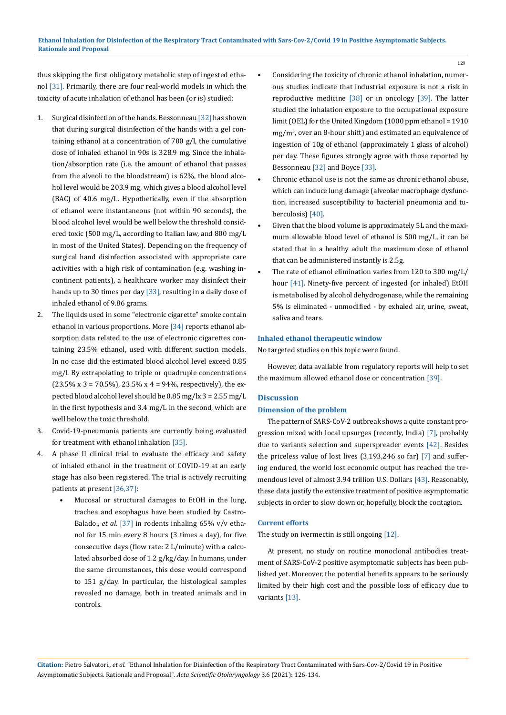thus skipping the first obligatory metabolic step of ingested ethanol [31]. Primarily, there are four real-world models in which the toxicity of acute inhalation of ethanol has been (or is) studied:

- 1. Surgical disinfection of the hands. Bessonneau [32] has shown that during surgical disinfection of the hands with a gel containing ethanol at a concentration of 700 g/l, the cumulative dose of inhaled ethanol in 90s is 328.9 mg. Since the inhalation/absorption rate (i.e. the amount of ethanol that passes from the alveoli to the bloodstream) is 62%, the blood alcohol level would be 203.9 mg, which gives a blood alcohol level (BAC) of 40.6 mg/L. Hypothetically, even if the absorption of ethanol were instantaneous (not within 90 seconds), the blood alcohol level would be well below the threshold considered toxic (500 mg/L, according to Italian law, and 800 mg/L in most of the United States). Depending on the frequency of surgical hand disinfection associated with appropriate care activities with a high risk of contamination (e.g. washing incontinent patients), a healthcare worker may disinfect their hands up to 30 times per day [33], resulting in a daily dose of inhaled ethanol of 9.86 grams.
- 2. The liquids used in some "electronic cigarette" smoke contain ethanol in various proportions. More [34] reports ethanol absorption data related to the use of electronic cigarettes containing 23.5% ethanol, used with different suction models. In no case did the estimated blood alcohol level exceed 0.85 mg/l. By extrapolating to triple or quadruple concentrations  $(23.5\% \text{ x } 3 = 70.5\%)$ ,  $23.5\% \text{ x } 4 = 94\%$ , respectively), the expected blood alcohol level should be 0.85 mg/lx 3 = 2.55 mg/L in the first hypothesis and 3.4 mg/L in the second, which are well below the toxic threshold.
- 3. Covid-19-pneumonia patients are currently being evaluated for treatment with ethanol inhalation [35].
- 4. A phase II clinical trial to evaluate the efficacy and safety of inhaled ethanol in the treatment of COVID-19 at an early stage has also been registered. The trial is actively recruiting patients at present [36,37]:
	- Mucosal or structural damages to EtOH in the lung, trachea and esophagus have been studied by Castro-Balado., *et al*. [37] in rodents inhaling 65% v/v ethanol for 15 min every 8 hours (3 times a day), for five consecutive days (flow rate: 2 L/minute) with a calculated absorbed dose of 1.2 g/kg/day. In humans, under the same circumstances, this dose would correspond to 151 g/day. In particular, the histological samples revealed no damage, both in treated animals and in controls.

• Considering the toxicity of chronic ethanol inhalation, numerous studies indicate that industrial exposure is not a risk in reproductive medicine [38] or in oncology [39]. The latter studied the inhalation exposure to the occupational exposure limit (OEL) for the United Kingdom (1000 ppm ethanol = 1910 mg/m<sup>3</sup> , over an 8-hour shift) and estimated an equivalence of ingestion of 10g of ethanol (approximately 1 glass of alcohol) per day. These figures strongly agree with those reported by Bessonneau [32] and Boyce [33].

129

- Chronic ethanol use is not the same as chronic ethanol abuse, which can induce lung damage (alveolar macrophage dysfunction, increased susceptibility to bacterial pneumonia and tuberculosis) [40].
- Given that the blood volume is approximately 5L and the maximum allowable blood level of ethanol is 500 mg/L, it can be stated that in a healthy adult the maximum dose of ethanol that can be administered instantly is 2.5g.
- The rate of ethanol elimination varies from 120 to 300 mg/L/ hour [41]. Ninety-five percent of ingested (or inhaled) EtOH is metabolised by alcohol dehydrogenase, while the remaining 5% is eliminated - unmodified - by exhaled air, urine, sweat, saliva and tears.

### **Inhaled ethanol therapeutic window**

No targeted studies on this topic were found.

However, data available from regulatory reports will help to set the maximum allowed ethanol dose or concentration [39].

### **Discussion**

# **Dimension of the problem**

The pattern of SARS-CoV-2 outbreak shows a quite constant progression mixed with local upsurges (recently, India) [7], probably due to variants selection and superspreader events [42]. Besides the priceless value of lost lives (3,193,246 so far) [7] and suffering endured, the world lost economic output has reached the tremendous level of almost 3.94 trillion U.S. Dollars [43]. Reasonably, these data justify the extensive treatment of positive asymptomatic subjects in order to slow down or, hopefully, block the contagion.

### **Current efforts**

The study on ivermectin is still ongoing [12].

At present, no study on routine monoclonal antibodies treatment of SARS-CoV-2 positive asymptomatic subjects has been published yet. Moreover, the potential benefits appears to be seriously limited by their high cost and the possible loss of efficacy due to variants [13].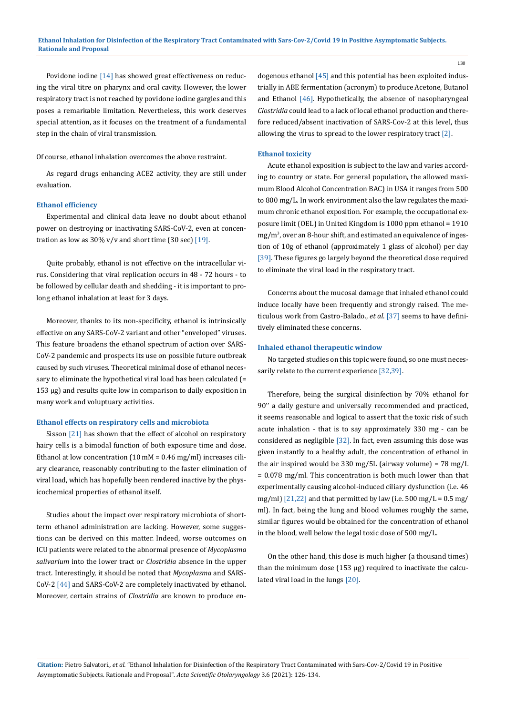Povidone iodine [14] has showed great effectiveness on reducing the viral titre on pharynx and oral cavity. However, the lower respiratory tract is not reached by povidone iodine gargles and this poses a remarkable limitation. Nevertheless, this work deserves special attention, as it focuses on the treatment of a fundamental step in the chain of viral transmission.

Of course, ethanol inhalation overcomes the above restraint.

As regard drugs enhancing ACE2 activity, they are still under evaluation.

#### **Ethanol efficiency**

Experimental and clinical data leave no doubt about ethanol power on destroying or inactivating SARS-CoV-2, even at concentration as low as  $30\%$  v/v and short time (30 sec) [19].

Quite probably, ethanol is not effective on the intracellular virus. Considering that viral replication occurs in 48 - 72 hours - to be followed by cellular death and shedding - it is important to prolong ethanol inhalation at least for 3 days.

Moreover, thanks to its non-specificity, ethanol is intrinsically effective on any SARS-CoV-2 variant and other "enveloped" viruses. This feature broadens the ethanol spectrum of action over SARS-CoV-2 pandemic and prospects its use on possible future outbreak caused by such viruses. Theoretical minimal dose of ethanol necessary to eliminate the hypothetical viral load has been calculated (= 153 µg) and results quite low in comparison to daily exposition in many work and voluptuary activities.

### **Ethanol effects on respiratory cells and microbiota**

Sisson [21] has shown that the effect of alcohol on respiratory hairy cells is a bimodal function of both exposure time and dose. Ethanol at low concentration (10 mM = 0.46 mg/ml) increases ciliary clearance, reasonably contributing to the faster elimination of viral load, which has hopefully been rendered inactive by the physicochemical properties of ethanol itself.

Studies about the impact over respiratory microbiota of shortterm ethanol administration are lacking. However, some suggestions can be derived on this matter. Indeed, worse outcomes on ICU patients were related to the abnormal presence of *Mycoplasma salivarium* into the lower tract or *Clostridia* absence in the upper tract. Interestingly, it should be noted that *Mycoplasma* and SARS-CoV-2 [44] and SARS-CoV-2 are completely inactivated by ethanol. Moreover, certain strains of *Clostridia* are known to produce endogenous ethanol [45] and this potential has been exploited industrially in ABE fermentation (acronym) to produce Acetone, Butanol and Ethanol [46]. Hypothetically, the absence of nasopharyngeal *Clostridia* could lead to a lack of local ethanol production and therefore reduced/absent inactivation of SARS-Cov-2 at this level, thus allowing the virus to spread to the lower respiratory tract  $[2]$ .

#### **Ethanol toxicity**

Acute ethanol exposition is subject to the law and varies according to country or state. For general population, the allowed maximum Blood Alcohol Concentration BAC) in USA it ranges from 500 to 800 mg/L. In work environment also the law regulates the maximum chronic ethanol exposition. For example, the occupational exposure limit (OEL) in United Kingdom is 1000 ppm ethanol = 1910 mg/m<sup>3</sup> , over an 8-hour shift, and estimated an equivalence of ingestion of 10g of ethanol (approximately 1 glass of alcohol) per day [39]. These figures go largely beyond the theoretical dose required to eliminate the viral load in the respiratory tract.

Concerns about the mucosal damage that inhaled ethanol could induce locally have been frequently and strongly raised. The meticulous work from Castro-Balado., *et al*. [37] seems to have definitively eliminated these concerns.

#### **Inhaled ethanol therapeutic window**

No targeted studies on this topic were found, so one must necessarily relate to the current experience [32,39].

Therefore, being the surgical disinfection by 70% ethanol for 90'' a daily gesture and universally recommended and practiced, it seems reasonable and logical to assert that the toxic risk of such acute inhalation - that is to say approximately 330 mg - can be considered as negligible [32]. In fact, even assuming this dose was given instantly to a healthy adult, the concentration of ethanol in the air inspired would be 330 mg/5L (airway volume) = 78 mg/L = 0.078 mg/ml. This concentration is both much lower than that experimentally causing alcohol-induced ciliary dysfunction (i.e. 46 mg/ml)  $[21,22]$  and that permitted by law (i.e. 500 mg/L = 0.5 mg/ ml). In fact, being the lung and blood volumes roughly the same, similar figures would be obtained for the concentration of ethanol in the blood, well below the legal toxic dose of 500 mg/L.

On the other hand, this dose is much higher (a thousand times) than the minimum dose (153 μg) required to inactivate the calculated viral load in the lungs [20].

130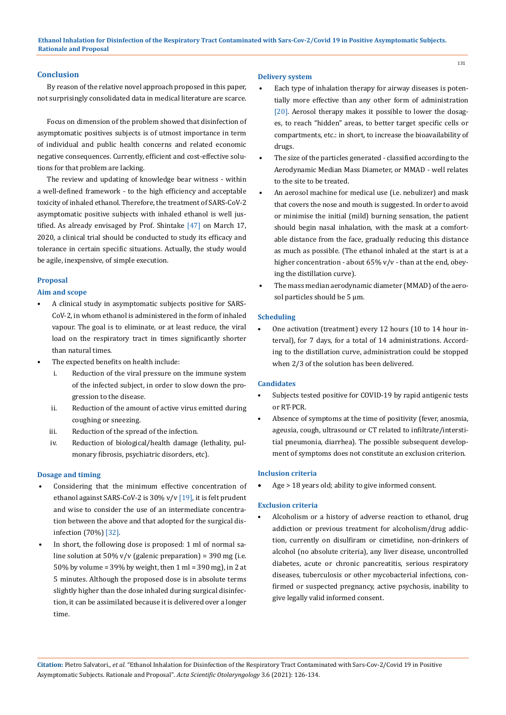# **Conclusion**

By reason of the relative novel approach proposed in this paper, not surprisingly consolidated data in medical literature are scarce.

Focus on dimension of the problem showed that disinfection of asymptomatic positives subjects is of utmost importance in term of individual and public health concerns and related economic negative consequences. Currently, efficient and cost-effective solutions for that problem are lacking.

The review and updating of knowledge bear witness - within a well-defined framework - to the high efficiency and acceptable toxicity of inhaled ethanol. Therefore, the treatment of SARS-CoV-2 asymptomatic positive subjects with inhaled ethanol is well justified. As already envisaged by Prof. Shintake [47] on March 17, 2020, a clinical trial should be conducted to study its efficacy and tolerance in certain specific situations. Actually, the study would be agile, inexpensive, of simple execution.

### **Proposal**

# **Aim and scope**

- A clinical study in asymptomatic subjects positive for SARS-CoV-2, in whom ethanol is administered in the form of inhaled vapour. The goal is to eliminate, or at least reduce, the viral load on the respiratory tract in times significantly shorter than natural times.
- The expected benefits on health include:
	- i. Reduction of the viral pressure on the immune system of the infected subject, in order to slow down the progression to the disease.
	- ii. Reduction of the amount of active virus emitted during coughing or sneezing.
	- iii. Reduction of the spread of the infection.
	- iv. Reduction of biological/health damage (lethality, pulmonary fibrosis, psychiatric disorders, etc).

# **Dosage and timing**

- Considering that the minimum effective concentration of ethanol against SARS-CoV-2 is 30% v/v [19], it is felt prudent and wise to consider the use of an intermediate concentration between the above and that adopted for the surgical disinfection (70%) [32].
- In short, the following dose is proposed: 1 ml of normal saline solution at 50% v/v (galenic preparation) = 390 mg (i.e. 50% by volume = 39% by weight, then 1 ml = 390 mg), in 2 at 5 minutes. Although the proposed dose is in absolute terms slightly higher than the dose inhaled during surgical disinfection, it can be assimilated because it is delivered over a longer time.

#### **Delivery system**

- Each type of inhalation therapy for airway diseases is potentially more effective than any other form of administration [20]. Aerosol therapy makes it possible to lower the dosages, to reach "hidden" areas, to better target specific cells or compartments, etc.: in short, to increase the bioavailability of drugs.
- The size of the particles generated classified according to the Aerodynamic Median Mass Diameter, or MMAD - well relates to the site to be treated.
- An aerosol machine for medical use (i.e. nebulizer) and mask that covers the nose and mouth is suggested. In order to avoid or minimise the initial (mild) burning sensation, the patient should begin nasal inhalation, with the mask at a comfortable distance from the face, gradually reducing this distance as much as possible. (The ethanol inhaled at the start is at a higher concentration - about 65% v/v - than at the end, obeying the distillation curve).
- The mass median aerodynamic diameter (MMAD) of the aerosol particles should be 5 μm.

#### **Scheduling**

• One activation (treatment) every 12 hours (10 to 14 hour interval), for 7 days, for a total of 14 administrations. According to the distillation curve, administration could be stopped when 2/3 of the solution has been delivered.

### **Candidates**

- Subjects tested positive for COVID-19 by rapid antigenic tests or RT-PCR.
- Absence of symptoms at the time of positivity (fever, anosmia, ageusia, cough, ultrasound or CT related to infiltrate/interstitial pneumonia, diarrhea). The possible subsequent development of symptoms does not constitute an exclusion criterion.

#### **Inclusion criteria**

Age > 18 years old; ability to give informed consent.

#### **Exclusion criteria**

• Alcoholism or a history of adverse reaction to ethanol, drug addiction or previous treatment for alcoholism/drug addiction, currently on disulfiram or cimetidine, non-drinkers of alcohol (no absolute criteria), any liver disease, uncontrolled diabetes, acute or chronic pancreatitis, serious respiratory diseases, tuberculosis or other mycobacterial infections, confirmed or suspected pregnancy, active psychosis, inability to give legally valid informed consent.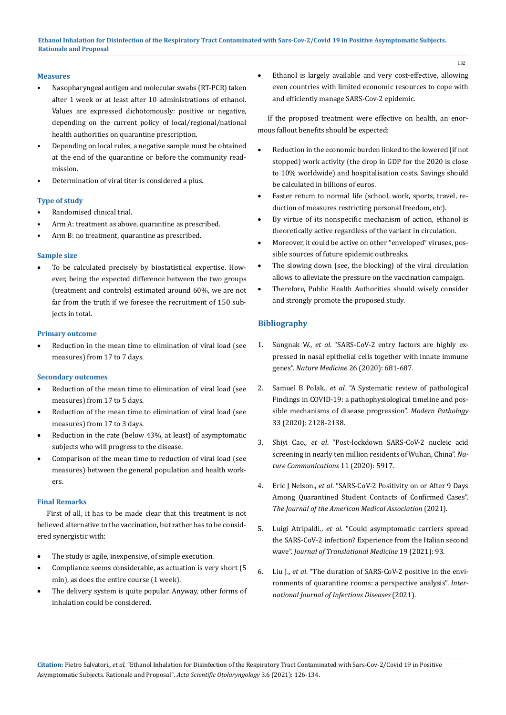# **Measures**

- Nasopharyngeal antigen and molecular swabs (RT-PCR) taken after 1 week or at least after 10 administrations of ethanol. Values are expressed dichotomously: positive or negative, depending on the current policy of local/regional/national health authorities on quarantine prescription.
- Depending on local rules, a negative sample must be obtained at the end of the quarantine or before the community readmission.
- Determination of viral titer is considered a plus.

# **Type of study**

- Randomised clinical trial.
- Arm A: treatment as above, quarantine as prescribed.
- Arm B: no treatment, quarantine as prescribed.

### **Sample size**

To be calculated precisely by biostatistical expertise. However, being the expected difference between the two groups (treatment and controls) estimated around 60%, we are not far from the truth if we foresee the recruitment of 150 subjects in total.

### **Primary outcome**

Reduction in the mean time to elimination of viral load (see measures) from 17 to 7 days.

# **Secondary outcomes**

- Reduction of the mean time to elimination of viral load (see measures) from 17 to 5 days.
- Reduction of the mean time to elimination of viral load (see measures) from 17 to 3 days.
- Reduction in the rate (below 43%, at least) of asymptomatic subjects who will progress to the disease.
- Comparison of the mean time to reduction of viral load (see measures) between the general population and health workers.

#### **Final Remarks**

First of all, it has to be made clear that this treatment is not believed alternative to the vaccination, but rather has to be considered synergistic with:

- The study is agile, inexpensive, of simple execution.
- Compliance seems considerable, as actuation is very short (5 min), as does the entire course (1 week).
- The delivery system is quite popular. Anyway, other forms of inhalation could be considered.

Ethanol is largely available and very cost-effective, allowing even countries with limited economic resources to cope with and efficiently manage SARS-Cov-2 epidemic.

If the proposed treatment were effective on health, an enormous fallout benefits should be expected:

- Reduction in the economic burden linked to the lowered (if not stopped) work activity (the drop in GDP for the 2020 is close to 10% worldwide) and hospitalisation costs. Savings should be calculated in billions of euros.
- Faster return to normal life (school, work, sports, travel, reduction of measures restricting personal freedom, etc).
- By virtue of its nonspecific mechanism of action, ethanol is theoretically active regardless of the variant in circulation.
- Moreover, it could be active on other "enveloped" viruses, possible sources of future epidemic outbreaks.
- The slowing down (see, the blocking) of the viral circulation allows to alleviate the pressure on the vaccination campaign.
- • Therefore, Public Health Authorities should wisely consider and strongly promote the proposed study.

# **Bibliography**

- 1. Sungnak W., *et al*[. "SARS-CoV-2 entry factors are highly ex](https://www.nature.com/articles/s41591-020-0868-6)[pressed in nasal epithelial cells together with innate immune](https://www.nature.com/articles/s41591-020-0868-6)  genes". *Nature Medicine* [26 \(2020\): 681-687.](https://www.nature.com/articles/s41591-020-0868-6)
- 2. Samuel B Polak., *et al*[. "A Systematic review of pathological](https://www.nature.com/articles/s41379-020-0603-3)  [Findings in COVID-19: a pathophysiological timeline and pos](https://www.nature.com/articles/s41379-020-0603-3)[sible mechanisms of disease progression".](https://www.nature.com/articles/s41379-020-0603-3) *Modern Pathology* [33 \(2020\): 2128-2138.](https://www.nature.com/articles/s41379-020-0603-3)
- 3. Shiyi Cao., *et al*[. "Post-lockdown SARS-CoV-2 nucleic acid](https://www.nature.com/articles/s41467-020-19802-w)  [screening in nearly ten million residents of Wuhan, China".](https://www.nature.com/articles/s41467-020-19802-w) *Na[ture Communications](https://www.nature.com/articles/s41467-020-19802-w)* 11 (2020): 5917.
- 4. Eric J Nelson., *et al*[. "SARS-CoV-2 Positivity on or After 9 Days](https://pubmed.ncbi.nlm.nih.gov/33605978/)  [Among Quarantined Student Contacts of Confirmed Cases".](https://pubmed.ncbi.nlm.nih.gov/33605978/)  *[The Journal of the American Medical Association](https://pubmed.ncbi.nlm.nih.gov/33605978/)* (2021).
- 5. Luigi Atripaldi., *et al*[. "Could asymptomatic carriers spread](https://translational-medicine.biomedcentral.com/articles/10.1186/s12967-021-02762-0)  [the SARS-CoV-2 infection? Experience from the Italian second](https://translational-medicine.biomedcentral.com/articles/10.1186/s12967-021-02762-0)  wave". *[Journal of Translational Medicine](https://translational-medicine.biomedcentral.com/articles/10.1186/s12967-021-02762-0)* 19 (2021): 93.
- 6. Liu J., *et al*[. "The duration of SARS-CoV-2 positive in the envi](https://pubmed.ncbi.nlm.nih.gov/33578005/)[ronments of quarantine rooms: a perspective analysis".](https://pubmed.ncbi.nlm.nih.gov/33578005/) *Inter[national Journal of Infectious Diseases](https://pubmed.ncbi.nlm.nih.gov/33578005/)* (2021).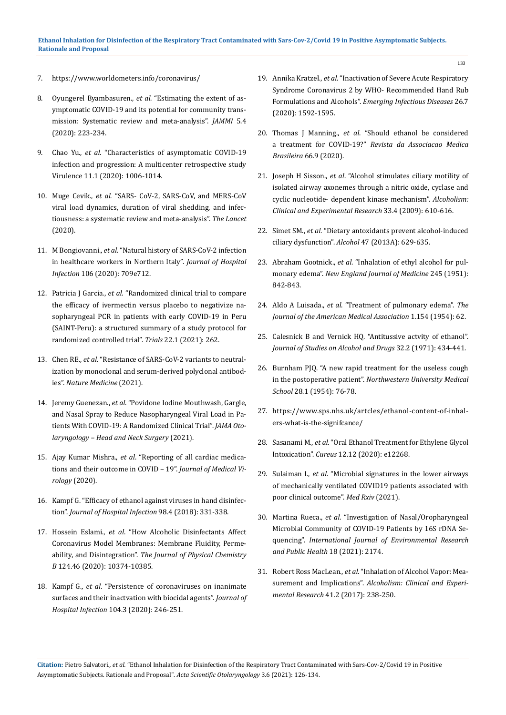- 7. <https://www.worldometers.info/coronavirus/>
- 8. Oyungerel Byambasuren., *et al*[. "Estimating the extent of as](https://www.medrxiv.org/content/10.1101/2020.05.10.20097543v2)[ymptomatic COVID-19 and its potential for community trans](https://www.medrxiv.org/content/10.1101/2020.05.10.20097543v2)[mission: Systematic review and meta-analysis".](https://www.medrxiv.org/content/10.1101/2020.05.10.20097543v2) *JAMMI* 5.4 [\(2020\): 223-234.](https://www.medrxiv.org/content/10.1101/2020.05.10.20097543v2)
- 9. Chao Yu., *et al*[. "Characteristics of asymptomatic COVID-19](https://pubmed.ncbi.nlm.nih.gov/32722990/)  [infection and progression: A multicenter retrospective study](https://pubmed.ncbi.nlm.nih.gov/32722990/)  Virulence [11.1 \(2020\): 1006-1014.](https://pubmed.ncbi.nlm.nih.gov/32722990/)
- 10. Muge Cevik., *et al*[. "SARS- CoV-2, SARS-CoV, and MERS-CoV](https://www.thelancet.com/journals/lanmic/article/PIIS2666-5247(20)30172-5/fulltext)  [viral load dynamics, duration of viral shedding, and infec](https://www.thelancet.com/journals/lanmic/article/PIIS2666-5247(20)30172-5/fulltext)[tiousness: a systematic review and meta-analysis".](https://www.thelancet.com/journals/lanmic/article/PIIS2666-5247(20)30172-5/fulltext) *The Lancet*  [\(2020\).](https://www.thelancet.com/journals/lanmic/article/PIIS2666-5247(20)30172-5/fulltext)
- 11. M Bongiovanni., *et al*[. "Natural history of SARS-CoV-2 infection](https://www.journalofhospitalinfection.com/article/S0195-6701(20)30447-3/fulltext)  [in healthcare workers in Northern Italy".](https://www.journalofhospitalinfection.com/article/S0195-6701(20)30447-3/fulltext) *Journal of Hospital Infection* [106 \(2020\): 709e712.](https://www.journalofhospitalinfection.com/article/S0195-6701(20)30447-3/fulltext)
- 12. Patricia J Garcia., *et al*[. "Randomized clinical trial to compare](https://trialsjournal.biomedcentral.com/articles/10.1186/s13063-021-05236-2)  [the efficacy of ivermectin versus placebo to negativize na](https://trialsjournal.biomedcentral.com/articles/10.1186/s13063-021-05236-2)[sopharyngeal PCR in patients with early COVID-19 in Peru](https://trialsjournal.biomedcentral.com/articles/10.1186/s13063-021-05236-2)  [\(SAINT-Peru\): a structured summary of a study protocol for](https://trialsjournal.biomedcentral.com/articles/10.1186/s13063-021-05236-2)  [randomized controlled trial".](https://trialsjournal.biomedcentral.com/articles/10.1186/s13063-021-05236-2) *Trials* 22.1 (2021): 262.
- 13. Chen RE., *et al*[. "Resistance of SARS-CoV-2 variants to neutral](https://www.nature.com/articles/s41591-021-01294-w)[ization by monoclonal and serum-derived polyclonal antibod](https://www.nature.com/articles/s41591-021-01294-w)ies". *[Nature Medicine](https://www.nature.com/articles/s41591-021-01294-w)* (2021).
- 14. Jeremy Guenezan., *et al*[. "Povidone Iodine Mouthwash, Gargle,](https://jamanetwork.com/journals/jamaotolaryngology/fullarticle/2775984)  [and Nasal Spray to Reduce Nasopharyngeal Viral Load in Pa](https://jamanetwork.com/journals/jamaotolaryngology/fullarticle/2775984)[tients With COVID-19: A Randomized Clinical Trial".](https://jamanetwork.com/journals/jamaotolaryngology/fullarticle/2775984) *JAMA Oto[laryngology – Head and Neck Surgery](https://jamanetwork.com/journals/jamaotolaryngology/fullarticle/2775984)* (2021).
- 15. Ajay Kumar Mishra., *et al*[. "Reporting of all cardiac medica](https://pubmed.ncbi.nlm.nih.gov/32266993/)[tions and their outcome in COVID – 19".](https://pubmed.ncbi.nlm.nih.gov/32266993/) *Journal of Medical Virology* [\(2020\).](https://pubmed.ncbi.nlm.nih.gov/32266993/)
- 16. [Kampf G. "Efficacy of ethanol against viruses in hand disinfec](https://www.researchgate.net/publication/319558163_Efficacy_of_ethanol_against_viruses_in_hand_disinfection)tion". *[Journal of Hospital Infection](https://www.researchgate.net/publication/319558163_Efficacy_of_ethanol_against_viruses_in_hand_disinfection)* 98.4 (2018): 331-338.
- 17. Hossein Eslami., *et al*[. "How Alcoholic Disinfectants Affect](https://pubs.acs.org/doi/10.1021/acs.jpcb.0c08296)  [Coronavirus Model Membranes: Membrane Fluidity, Perme](https://pubs.acs.org/doi/10.1021/acs.jpcb.0c08296)ability, and Disintegration". *[The Journal of Physical Chemistry](https://pubs.acs.org/doi/10.1021/acs.jpcb.0c08296)  B* [124.46 \(2020\): 10374-10385.](https://pubs.acs.org/doi/10.1021/acs.jpcb.0c08296)
- 18. Kampf G., *et al*[. "Persistence of coronaviruses on inanimate](https://pubmed.ncbi.nlm.nih.gov/32035997/)  [surfaces and their inactvation with biocidal agents".](https://pubmed.ncbi.nlm.nih.gov/32035997/) *Journal of Hospital Infection* [104.3 \(2020\): 246-251.](https://pubmed.ncbi.nlm.nih.gov/32035997/)
- 19. Annika Kratzel., *et al*[. "Inactivation of Severe Acute Respiratory](https://www.ncbi.nlm.nih.gov/pmc/articles/PMC7323537/)  [Syndrome Coronavirus 2 by WHO- Recommended Hand Rub](https://www.ncbi.nlm.nih.gov/pmc/articles/PMC7323537/)  Formulations and Alcohols". *[Emerging Infectious Diseases](https://www.ncbi.nlm.nih.gov/pmc/articles/PMC7323537/)* 26.7 [\(2020\): 1592-1595.](https://www.ncbi.nlm.nih.gov/pmc/articles/PMC7323537/)
- 20. Thomas J Manning., *et al*[. "Should ethanol be considered](https://www.scielo.br/j/ramb/a/tZx6j7mgRSBvyHM6gLJ4Tcv/?lang=en)  a treatment for COVID-19?" *[Revista da Associacao Medica](https://www.scielo.br/j/ramb/a/tZx6j7mgRSBvyHM6gLJ4Tcv/?lang=en)  Brasileira* [66.9 \(2020\).](https://www.scielo.br/j/ramb/a/tZx6j7mgRSBvyHM6gLJ4Tcv/?lang=en)
- 21. Joseph H Sisson., *et al*[. "Alcohol stimulates ciliary motility of](https://pubmed.ncbi.nlm.nih.gov/19183138/)  [isolated airway axonemes through a nitric oxide, cyclase and](https://pubmed.ncbi.nlm.nih.gov/19183138/)  [cyclic nucleotide- dependent kinase mechanism".](https://pubmed.ncbi.nlm.nih.gov/19183138/) *Alcoholism: [Clinical and Experimental Research](https://pubmed.ncbi.nlm.nih.gov/19183138/)* 33.4 (2009): 610-616.
- 22. Simet SM., *et al*[. "Dietary antoxidants prevent alcohol-induced](https://www.ncbi.nlm.nih.gov/pmc/articles/PMC3850762/)  ciliary dysfunction". *Alcohol* [47 \(2013A\): 629-635.](https://www.ncbi.nlm.nih.gov/pmc/articles/PMC3850762/)
- 23. Abraham Gootnick., *et al*[. "Inhalation of ethyl alcohol for pul](https://pubmed.ncbi.nlm.nih.gov/14882435/)monary edema". *[New England Journal of Medicine](https://pubmed.ncbi.nlm.nih.gov/14882435/)* 245 (1951): [842-843.](https://pubmed.ncbi.nlm.nih.gov/14882435/)
- 24. Aldo A Luisada., *et al*[. "Treatment of pulmonary edema".](https://www.deepdyve.com/lp/american-medical-association/treatment-of-pulmonary-edema-Q2ttEtFDm7) *The [Journal of the American Medical Association](https://www.deepdyve.com/lp/american-medical-association/treatment-of-pulmonary-edema-Q2ttEtFDm7)* 1.154 (1954): 62.
- 25. [Calesnick B and Vernick HQ. "Antitussive actvity of ethanol".](https://pubmed.ncbi.nlm.nih.gov/4932255/) *[Journal of Studies on Alcohol and Drugs](https://pubmed.ncbi.nlm.nih.gov/4932255/)* 32.2 (1971): 434-441.
- 26. [Burnham PJQ. "A new rapid treatment for the useless cough](https://www.ncbi.nlm.nih.gov/pmc/articles/PMC3803219/)  in the postoperative patient". *[Northwestern University Medical](https://www.ncbi.nlm.nih.gov/pmc/articles/PMC3803219/)  School* [28.1 \(1954\): 76-78.](https://www.ncbi.nlm.nih.gov/pmc/articles/PMC3803219/)
- 27. [https://www.sps.nhs.uk/artcles/ethanol-content-of-inhal](https://www.sps.nhs.uk/artcles/ethanol-content-of-inhalers-what-is-the-signifcance/)[ers-what-is-the-signifcance/](https://www.sps.nhs.uk/artcles/ethanol-content-of-inhalers-what-is-the-signifcance/)
- 28. Sasanami M., *et al*[. "Oral Ethanol Treatment for Ethylene Glycol](https://www.ncbi.nlm.nih.gov/pmc/articles/PMC7827791/)  Intoxication". *Cureus* [12.12 \(2020\): e12268.](https://www.ncbi.nlm.nih.gov/pmc/articles/PMC7827791/)
- 29. Sulaiman I., *et al*[. "Microbial signatures in the lower airways](https://www.researchsquare.com/article/rs-266050/v1)  [of mechanically ventilated COVID19 patients associated with](https://www.researchsquare.com/article/rs-266050/v1)  [poor clinical outcome".](https://www.researchsquare.com/article/rs-266050/v1) *Med Rxiv* (2021).
- 30. Martina Rueca., *et al*[. "Investigation of Nasal/Oropharyngeal](https://pubmed.ncbi.nlm.nih.gov/33672177/)  [Microbial Community of COVID-19 Patients by 16S rDNA Se](https://pubmed.ncbi.nlm.nih.gov/33672177/)quencing". *[International Journal of Environmental Research](https://pubmed.ncbi.nlm.nih.gov/33672177/)  [and Public Health](https://pubmed.ncbi.nlm.nih.gov/33672177/)* 18 (2021): 2174.
- 31. Robert Ross MacLean., *et al*[. "Inhalation of Alcohol Vapor: Mea](https://www.researchgate.net/publication/312117767_Inhalation_of_Alcohol_Vapor_Measurement_and_Implications)surement and Implications". *[Alcoholism: Clinical and Experi](https://www.researchgate.net/publication/312117767_Inhalation_of_Alcohol_Vapor_Measurement_and_Implications)mental Research* [41.2 \(2017\): 238-250.](https://www.researchgate.net/publication/312117767_Inhalation_of_Alcohol_Vapor_Measurement_and_Implications)